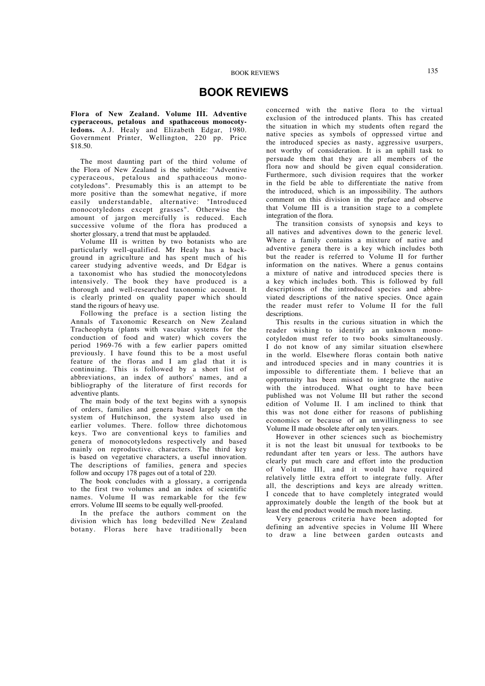## **BOOK REVIEWS**

**Flora of New Zealand. Volume III. Adventive cyperaceous, petalous and spathaceous monocotyledons.** A.J. Healy and Elizabeth Edgar, 1980. Government Printer, Wellington, 220 pp. Price \$18.50.

The most daunting part of the third volume of the Flora of New Zealand is the subtitle: "Adventive cyperaceous, petalous and spathaceous monocotyledons". Presumably this is an attempt to be more positive than the somewhat negative, if more easily understandable, alternative: "Introduced monocotyledons except grasses". Otherwise the amount of jargon mercifully is reduced. Each successive volume of the flora has produced a shorter glossary, a trend that must be applauded.

Volume III is written by two botanists who are particularly well-qualified. Mr Healy has a background in agriculture and has spent much of his career studying adventive weeds, and Dr Edgar is a taxonomist who has studied the monocotyledons intensively. The book they have produced is a thorough and well-researched taxonomic account. It is clearly printed on quality paper which should stand the rigours of heavy use.

Following the preface is a section listing the Annals of Taxonomic Research on New Zealand Tracheophyta (plants with vascular systems for the conduction of food and water) which covers the period 1969-76 with a few earlier papers omitted previously. I have found this to be a most useful feature of the floras and I am glad that it is continuing. This is followed by a short list of abbreviations, an index of authors' names, and a bibliography of the literature of first records for adventive plants.

The main body of the text begins with a synopsis of orders, families and genera based largely on the system of Hutchinson, the system also used in earlier volumes. There. follow three dichotomous keys. Two are conventional keys to families and genera of monocotyledons respectively and based mainly on reproductive. characters. The third key is based on vegetative characters, a useful innovation. The descriptions of families, genera and species follow and occupy 178 pages out of a total of 220.

The book concludes with a glossary, a corrigenda to the first two volumes and an index of scientific names. Volume II was remarkable for the few errors. Volume III seems to be equally well-proofed.

In the preface the authors comment on the division which has long bedevilled New Zealand botany. Floras here have traditionally been

concerned with the native flora to the virtual exclusion of the introduced plants. This has created the situation in which my students often regard the native species as symbols of oppressed virtue and the introduced species as nasty, aggressive usurpers, not worthy of consideration. It is an uphill task to persuade them that they are all members of the flora now and should be given equal consideration. Furthermore, such division requires that the worker in the field be able to differentiate the native from the introduced, which is an impossibility. The authors comment on this division in the preface and observe that Volume III is a transition stage to a complete integration of the flora.

The transition consists of synopsis and keys to all natives and adventives down to the generic level. Where a family contains a mixture of native and adventive genera there is a key which includes both but the reader is referred to Volume II for further information on the natives. Where a genus contains a mixture of native and introduced species there is a key which includes both. This is followed by full descriptions of the introduced species and abbreviated descriptions of the native species. Once again the reader must refer to Volume II for the full descriptions.

This results in the curious situation in which the reader wishing to identify an unknown monocotyledon must refer to two books simultaneously. I do not know of any similar situation elsewhere in the world. Elsewhere floras contain both native and introduced species and in many countries it is impossible to differentiate them. I believe that an opportunity has been missed to integrate the native with the introduced. What ought to have been published was not Volume III but rather the second edition of Volume II. I am inclined to think that this was not done either for reasons of publishing economics or because of an unwillingness to see Volume II made obsolete after only ten years.

However in other sciences such as biochemistry it is not the least bit unusual for textbooks to be redundant after ten years or less. The authors have clearly put much care and effort into the production of Volume III, and it would have required relatively little extra effort to integrate fully. After all, the descriptions and keys are already written. I concede that to have completely integrated would approximately double the length of the book but at least the end product would be much more lasting.

Very generous criteria have been adopted for defining an adventive species in Volume III Where to draw a line between garden outcasts and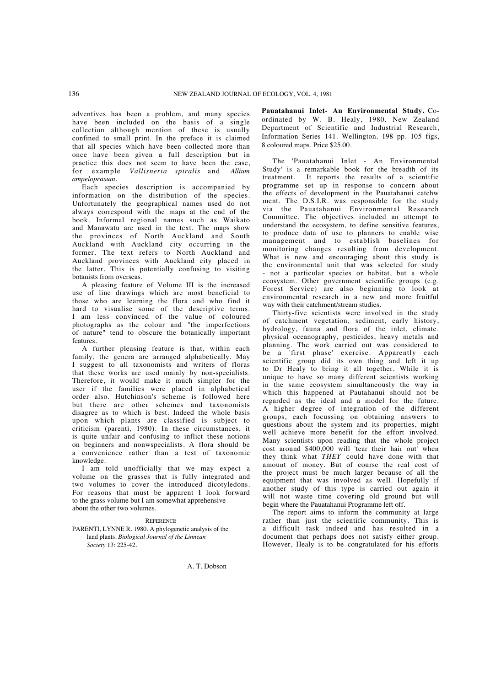adventives has been a problem, and many species have been included on the basis of a single collection although mention of these is usually confined to small print. In the preface it is claimed that all species which have been collected more than once have been given a full description but in practice this does not seem to have been the case, for example *Vallisneria spiralis* and *Allium ampeloprasum.*

Each species description is accompanied by information on the distribution of the species. Unfortunately the geographical names used do not always correspond with the maps at the end of the book. Informal regional names such as Waikato and Manawatu are used in the text. The maps show the provinces of North Auckland and South Auckland with Auckland city occurring in the former. The text refers to North Auckland and Auckland provinces with Auckland city placed in the latter. This is potentially confusing to visiting botanists from overseas.

A pleasing feature of Volume III is the increased use of line drawings which are most beneficial to those who are learning the flora and who find it hard to visualise some of the descriptive terms. I am less convinced of the value of coloured photographs as the colour and "the imperfections of nature" tend to obscure the botanically important features.

A further pleasing feature is that, within each family, the genera are arranged alphabetically. May I suggest to all taxonomists and writers of floras that these works are used mainly by non-specialists. Therefore, it would make it much simpler for the user if the families were placed in alphabetical order also. Hutchinson's scheme is followed here but there are other schemes and taxonomists disagree as to which is best. Indeed the whole basis upon which plants are classified is subject to criticism (parenti, 1980). In these circumstances, it is quite unfair and confusing to inflict these notions on beginners and nonwspecialists. A flora should be a convenience rather than a test of taxonomic knowledge.

I am told unofficially that we may expect a volume on the grasses that is fully integrated and two volumes to cover the introduced dicotyledons. For reasons that must be apparent I look forward to the grass volume but I am somewhat apprehensive about the other two volumes.

**REFERENCE** 

PARENTI, LYNNE R. 1980. A phylogenetic analysis of the land plants. *Biological Journal of the Linnean Society* 13: 225-42.

A. T. Dobson

**Pauatahanui Inlet- An Environmental Study.** Coordinated by W. B. Healy, 1980. New Zealand Department of Scientific and Industrial Research, Information Series 141. Wellington. 198 pp. 105 figs, 8 coloured maps. Price \$25.00.

The 'Pauatahanui Inlet - An Environmental Study' is a remarkable book for the breadth of its treatment. It reports the results of a scientific programme set up in response to concern about the effects of development in the Pauatahanui catchw ment. The D.S.I.R. was responsible for the study via the Pauatahanui Environmental Research Committee. The objectives included an attempt to understand the ecosystem, to define sensitive features, to produce data of use to planners to enable wise management and to establish baselines for monitoring changes resulting from development. What is new and encouraging about this study is the environmental unit that was selected for study - not a particular species or habitat, but a whole ecosystem. Other government scientific groups (e.g. Forest Service) are also beginning to look at environmental research in a new and more fruitful way with their catchment/stream studies.

Thirty-five scientists were involved in the study of catchment vegetation, sediment, early history, hydrology, fauna and flora of the inlet, climate. physical oceanography, pesticides, heavy metals and planning. The work carried out was considered to be a 'first phase' exercise. Apparently each scientific group did its own thing and left it up to Dr Healy to bring it all together. While it is unique to have so many different scientists working in the same ecosystem simultaneously the way in which this happened at Pautahanui should not be regarded as the ideal and a model for the future. A higher degree of integration of the different groups, each focussing on obtaining answers to questions about the system and its properties, might well achieve more benefit for the effort involved. Many scientists upon reading that the whole project cost around \$400,000 will 'tear their hair out' when they think what *THEY* could have done with that amount of money. But of course the real cost of the project must be much larger because of all the equipment that was involved as weIl. Hopefully if another study of this type is carried out again it will not waste time covering old ground but will begin where the Pauatahanui Programme left off.

The report aims to inform the community at large rather than just the scientific community. This is a difficult task indeed and has resulted in a document that perhaps does not satisfy either group. However, Healy is to be congratulated for his efforts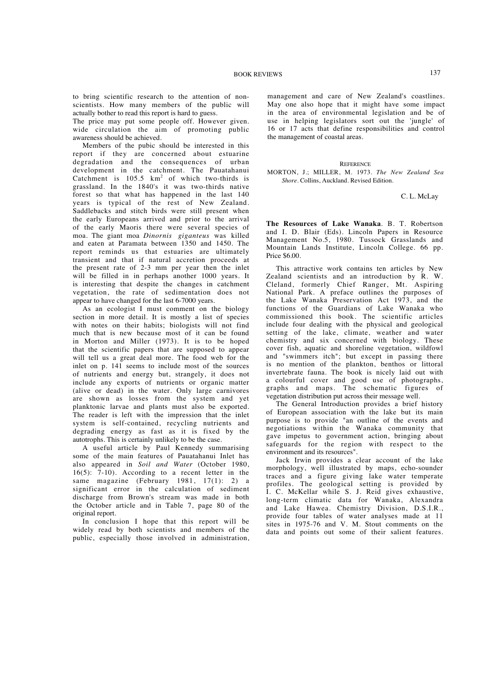to bring scientific research to the attention of nonscientists. How many members of the public will actually bother to read this report is hard to guess.

The price may put some people off. However given. wide circulation the aim of promoting public awareness should be achieved.

Members of the pubic should be interested in this report if they are concerned about estuarine degradation and the consequences of urban development in the catchment. The Pauatahanui Catchment is  $105.5 \text{ km}^2$  of which two-thirds is grassland. In the 1840's it was two-thirds native forest so that what has happened in the last 140 years is typical of the rest of New Zealand. Saddlebacks and stitch birds were still present when the early Europeans arrived and prior to the arrival of the early Maoris there were several species of moa. The giant moa *Dinornis giganteus* was killed and eaten at Paramata between 1350 and 1450. The report reminds us that estuaries are ultimately transient and that if natural accretion proceeds at the present rate of 2-3 mm per year then the inlet will be filled in in perhaps another 1000 years. It is interesting that despite the changes in catchment vegetation, the rate of sedimentation does not appear to have changed for the last 6-7000 years.

As an ecologist I must comment on the biology section in more detail. It is mostly a list of species with notes on their habits; biologists will not find much that is new because most of it can be found in Morton and Miller (1973). It is to be hoped that the scientific papers that are supposed to appear will tell us a great deal more. The food web for the inlet on p. 141 seems to include most of the sources of nutrients and energy but, strangely, it does not include any exports of nutrients or organic matter (alive or dead) in the water. Only large carnivores are shown as losses from the system and yet planktonic larvae and plants must also be exported. The reader is left with the impression that the inlet system is self-contained, recycling nutrients and degrading energy as fast as it is fixed by the autotrophs. This is certainly unlikely to be the case.

A useful article by Paul Kennedy summarising some of the main features of Pauatahanui Inlet has also appeared in *Soil and Water* (October 1980, 16(5): 7-10). According to a recent letter in the same magazine (February 1981, 17(1): 2) a significant error in the calculation of sediment discharge from Brown's stream was made in both the October article and in Table 7, page 80 of the original report.

In conclusion I hope that this report will be widely read by both scientists and members of the public, especially those involved in administration, management and care of New Zealand's coastlines. May one also hope that it might have some impact in the area of environmental legislation and be of use in helping legislators sort out the 'jungle' of 16 or 17 acts that define responsibilities and control the management of coastal areas.

## **REFERENCE**

MORTON, J.; MILLER, M. 1973. *The New Zealand Sea Shore.* Collins, Auckland. Revised Edition.

C. L. McLay

**The Resources of Lake Wanaka**. B. T. Robertson and I. D. Blair (Eds). Lincoln Papers in Resource Management No.5, 1980. Tussock Grasslands and Mountain Lands Institute, Lincoln College. 66 pp. Price \$6.00.

This attractive work contains ten articles by New Zealand scientists and an introduction by R. W. Cleland, formerly Chief Ranger, Mt. Aspiring National Park. A preface outlines the purposes of the Lake Wanaka Preservation Act 1973, and the functions of the Guardians of Lake Wanaka who commissioned this book. The scientific articles include four dealing with the physical and geological setting of the lake, climate, weather and water chemistry and six concerned with biology. These cover fish, aquatic and shoreline vegetation, wildfowl and "swimmers itch"; but except in passing there is no mention of the plankton, benthos or littoral invertebrate fauna. The book is nicely laid out with a colourful cover and good use of photographs, graphs and maps. The schematic figures of vegetation distribution put across their message well.

The General Introduction provides a brief history of European association with the lake but its main purpose is to provide "an outline of the events and negotiations within the Wanaka community that gave impetus to government action, bringing about safeguards for the region with respect to the environment and its resources".

Jack Irwin provides a clear account of the lake morphology, well illustrated by maps, echo-sounder traces and a figure giving lake water temperate profiles. The geological setting is provided by I. C. McKellar while S. J. Reid gives exhaustive, long-term climatic data for Wanaka, Alexandra and Lake Hawea. Chemistry Division, D.S.I.R., provide four tables of water analyses made at 11 sites in 1975-76 and V. M. Stout comments on the data and points out some of their salient features.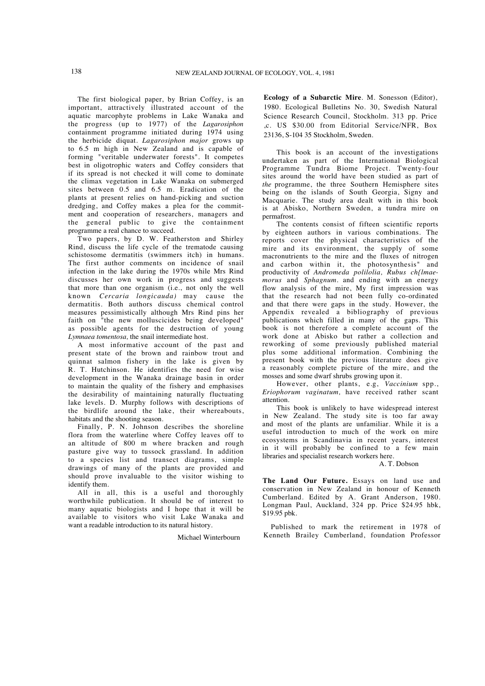The first biological paper, by Brian Coffey, is an important, attractively illustrated account of the aquatic marcophyte problems in Lake Wanaka and the progress (up to 1977) of the *Lagarosiphon* containment programme initiated during 1974 using the herbicide diquat. *Lagarosiphon major* grows up to 6.5 m high in New Zealand and is capable of forming "veritable underwater forests". It competes best in oligotrophic waters and Coffey considers that if its spread is not checked it will come to dominate the climax vegetation in Lake Wanaka on submerged sites between 0.5 and 6.5 m. Eradication of the plants at present relies on hand-picking and suction dredging, and Coffey makes a plea for the commitment and cooperation of researchers, managers and the general public to give the containment programme a real chance to succeed.

Two papers, by D. W. Featherston and Shirley Rind, discuss the life cycle of the trematode causing schistosome dermatitis (swimmers itch) in humans. The first author comments on incidence of snail infection in the lake during the 1970s while Mrs Rind discusses her own work in progress and suggests that more than one organism (i.e., not only the well known *Cercaria longicauda)* may cause the dermatitis. Both authors discuss chemical control measures pessimistically although Mrs Rind pins her faith on "the new molluscicides being developed" as possible agents for the destruction of young *Lymnaea tomentosa,* the snail intermediate host.

A most informative account of the past and present state of the brown and rainbow trout and quinnat salmon fishery in the lake is given by R. T. Hutchinson. He identifies the need for wise development in the Wanaka drainage basin in order to maintain the quality of the fishery and emphasises the desirability of maintaining naturally fluctuating lake levels. D. Murphy follows with descriptions of the birdlife around the lake, their whereabouts, habitats and the shooting season.

Finally, P. N. Johnson describes the shoreline flora from the waterline where Coffey leaves off to an altitude of 800 m where bracken and rough pasture give way to tussock grassland. In addition to a species list and transect diagrams, simple drawings of many of the plants are provided and should prove invaluable to the visitor wishing to identify them.

All in all, this is a useful and thoroughly worthwhile publication. It should be of interest to many aquatic biologists and I hope that it will be available to visitors who visit Lake Wanaka and want a readable introduction to its natural history.

Michael Winterbourn

**Ecology of a Subarctic Mire**. M. Sonesson (Editor), 1980. Ecological Bulletins No. 30, Swedish Natural Science Research Council, Stockholm. 313 pp. Price ,c. US \$30.00 from Editorial Service/NFR, Box 23136, S-104 35 Stockholm, Sweden.

This book is an account of the investigations undertaken as part of the International Biological Programme Tundra Biome Project. Twenty-four sites around the world have been studied as part of *the* programme, the three Southern Hemisphere sites being on the islands of South Georgia, Signy and Macquarie. The study area dealt with in this book is at Abisko, Northern Sweden, a tundra mire on permafrost.

The contents consist of fifteen scientific reports by eighteen authors in various combinations. The reports cover the physical characteristics of the mire and its environment, the supply of some macronutrients to the mire and the fluxes of nitrogen and carbon within it, the photosynthesis" and productivity of *Andromeda polilolia, Rubus ch{lmaemorus* and *Sphagnum.* and ending with an energy flow analysis of the mire, My first impression was that the research had not been fully co-ordinated and that there were gaps in the study. However, the Appendix revealed a bibliography of previous publications which filled in many of the gaps. This book is not therefore a complete account of the work done at Abisko but rather a collection and reworking of some previously published material plus some additional information. Combining the present book with the previous literature does give a reasonably complete picture of the mire, and the mosses and some dwarf shrubs growing upon it.

However, other plants, e.g, *Vaccinium* spp., *Eriophorum vaginatum,* have received rather scant attention.

This book is unlikely to have widespread interest in New Zealand. The study site is too far away and most of the plants are unfamiliar. While it is a useful introduction to much of the work on mire ecosystems in Scandinavia in recent years, interest in it will probably be confined to a few main libraries and specialist research workers here.

## A. T. Dobson

**The Land Our Future.** Essays on land use and conservation in New Zealand in honour of Kenneth Cumberland. Edited by A. Grant Anderson, 1980. Longman Paul, Auckland, 324 pp. Price \$24.95 hbk, \$19.95 pbk.

Published to mark the retirement in 1978 of Kenneth Brailey Cumberland, foundation Professor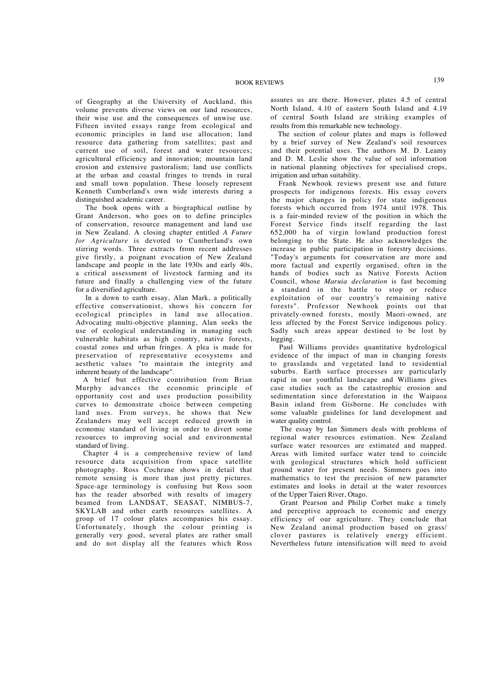of Geography at the University of Auckland, this volume prevents diverse views on our land resources, their wise use and the consequences of unwise use. Fifteen invited essays range from ecological and economic principles in land use allocation; land resource data gathering from satellites; past and current use of soil, forest and water resources; agricultural efficiency and innovation; mountain land erosion and extensive pastoralism; land use conflicts at the urban and coastal fringes to trends in rural and small town population. These loosely represent Kenneth Cumberland's own wide interests during a distinguished academic career.

The book opens with a biographical outline by Grant Anderson, who goes on to define principles of conservation, resource management and land use in New Zealand. A closing chapter entitled *A Future for Agriculture* is devoted to Cumberland's own stirring words. Three extracts from recent addresses give firstly, a poignant evocation of New Zealand landscape and people in the late 1930s and early 40s, a critical assessment of livestock farming and its future and finally a challenging view of the future for a diversified agriculture.

In a down to earth essay, Alan Mark, a politically effective conservationist, shows his concern for ecological principles in land use allocation. Advocating multi-objective planning, Alan seeks the use of ecological understanding in managing such vulnerable habitats as high country, native forests, coastal zones and urban fringes. A plea is made for preservation of representative ecosystems and aesthetic values "to maintain the integrity and inherent beauty of the landscape".

A brief but effective contribution from Brian Murphy advances the economic principle of opportunity cost and uses production possibility curves to demonstrate choice between competing land uses. From surveys, he shows that New Zealanders may well accept reduced growth in economic standard of living in order to divert some resources to improving social and environmental standard of living.

Chapter 4 is a comprehensive review of land resource data acquisition from space satellite photography. Ross Cochrane shows in detail that remote sensing is more than just pretty pictures. Space-age terminology is confusing but Ross soon has the reader absorbed with results of imagery beamed from LANDSAT, SEASAT, NIMBUS-7, SKYLAB and other earth resources satellites. A group of 17 colour plates accompanies his essay. Unfortunately, though the colour printing is generally very good, several plates are rather small and do not display all the features which Ross assures us are there. However, plates 4.5 of central North Island, 4.10 of eastern South Island and 4.19 of central South Island are striking examples of results from this remarkable new technology.

The section of colour plates and maps is followed by a brief survey of New Zealand's soil resources and their potential uses. The authors M. D. Leamy and D. M. Leslie show the value of soil information in national planning objectives for specialised crops, irrigation and urban suitability.

Frank Newhook reviews present use and future prospects for indigenous forests. His essay covers the major changes in policy for state indigenous forests which occurred from 1974 until 1978. This is a fair-minded review of the position in which the Forest Service finds itself regarding the last 652,000 ha of virgin lowland production forest belonging to the State. He also acknowledges the increase in public participation in forestry decisions. "Today's arguments for conservation are more and more factual and expertly organised, often in the hands of bodies such as Native Forests Action Council, whose *Maruia declaration* is fast becoming a standard in the battle to stop or reduce exploitation of our country's remaining native forests". Professor Newhook points out that privately-owned forests, mostly Maori-owned, are less affected by the Forest Service indigenous policy. Sadly such areas appear destined to be lost by logging.

Paul Williams provides quantitative hydrological evidence of the impact of man in changing forests to grasslands and vegetated land to residential suburbs. Earth surface processes are particularly rapid in our youthful landscape and Williams gives case studies such as the catastrophic erosion and sedimentation since deforestation in the Waipaoa Basin inland from Gisborne. He concludes with some valuable guidelines for land development and water quality control.

The essay by Ian Simmers deals with problems of regional water resources estimation. New Zealand surface water resources are estimated and mapped. Areas with limited surface water tend to coincide with geological structures which hold sufficient ground water for present needs. Simmers goes into mathematics to test the precision of new parameter estimates and looks in detail at the water resources of the Upper Taieri River, Otago.

Grant Pearson and Philip Corbet make a timely and perceptive approach to economic and energy efficiency of our agriculture. They conclude that New Zealand animal production based on grass/ clover pastures is relatively energy efficient. Nevertheless future intensification will need to avoid